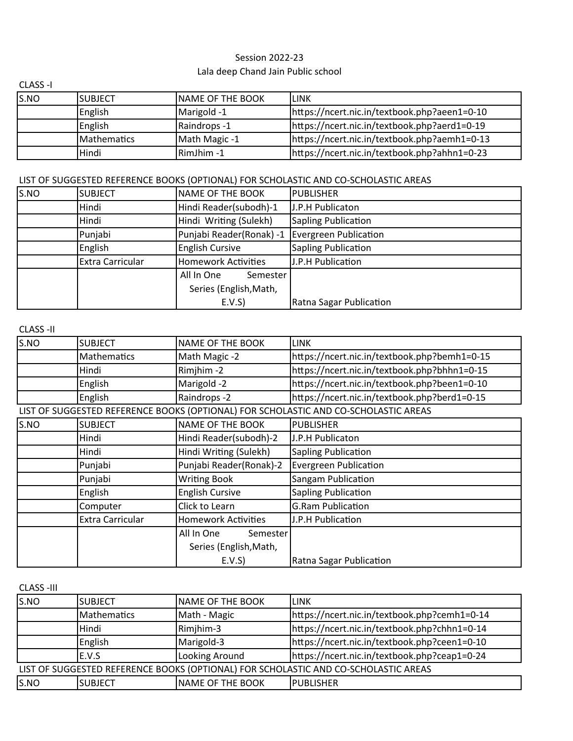## Lala deep Chand Jain Public school Session 2022-23

| CLASS-I |             |                         |                                              |
|---------|-------------|-------------------------|----------------------------------------------|
| S.NO    | ISUBJECT    | <b>NAME OF THE BOOK</b> | llink                                        |
|         | English     | Marigold -1             | https://ncert.nic.in/textbook.php?aeen1=0-10 |
|         | English     | Raindrops -1            | https://ncert.nic.in/textbook.php?aerd1=0-19 |
|         | Mathematics | Math Magic -1           | https://ncert.nic.in/textbook.php?aemh1=0-13 |
|         | Hindi       | RimJhim -1              | https://ncert.nic.in/textbook.php?ahhn1=0-23 |

## LIST OF SUGGESTED REFERENCE BOOKS (OPTIONAL) FOR SCHOLASTIC AND CO-SCHOLASTIC AREAS

| S.NO | <b>SUBJECT</b>          | NAME OF THE BOOK         | <b>PUBLISHER</b>           |
|------|-------------------------|--------------------------|----------------------------|
|      | Hindi                   | Hindi Reader(subodh)-1   | J.P.H Publicaton           |
|      | Hindi                   | Hindi Writing (Sulekh)   | <b>Sapling Publication</b> |
|      | Punjabi                 | Punjabi Reader(Ronak) -1 | Evergreen Publication      |
|      | English                 | <b>English Cursive</b>   | <b>Sapling Publication</b> |
|      | <b>Extra Carricular</b> | Homework Activities      | J.P.H Publication          |
|      |                         | All In One<br>Semester   |                            |
|      |                         | Series (English, Math,   |                            |
|      |                         | E.V.S                    | Ratna Sagar Publication    |

CLASS -II

| S.NO | <b>SUBJECT</b>          | <b>NAME OF THE BOOK</b>    | <b>LINK</b>                                                                         |
|------|-------------------------|----------------------------|-------------------------------------------------------------------------------------|
|      | Mathematics             | Math Magic -2              | https://ncert.nic.in/textbook.php?bemh1=0-15                                        |
|      | Hindi                   | Rimjhim-2                  | https://ncert.nic.in/textbook.php?bhhn1=0-15                                        |
|      | English                 | Marigold -2                | https://ncert.nic.in/textbook.php?been1=0-10                                        |
|      | English                 | Raindrops -2               | https://ncert.nic.in/textbook.php?berd1=0-15                                        |
|      |                         |                            | LIST OF SUGGESTED REFERENCE BOOKS (OPTIONAL) FOR SCHOLASTIC AND CO-SCHOLASTIC AREAS |
| S.NO | <b>SUBJECT</b>          | <b>NAME OF THE BOOK</b>    | <b>PUBLISHER</b>                                                                    |
|      | Hindi                   | Hindi Reader(subodh)-2     | J.P.H Publicaton                                                                    |
|      | Hindi                   | Hindi Writing (Sulekh)     | <b>Sapling Publication</b>                                                          |
|      | Punjabi                 | Punjabi Reader(Ronak)-2    | <b>Evergreen Publication</b>                                                        |
|      | Punjabi                 | <b>Writing Book</b>        | Sangam Publication                                                                  |
|      | English                 | <b>English Cursive</b>     | Sapling Publication                                                                 |
|      | Computer                | Click to Learn             | <b>G.Ram Publication</b>                                                            |
|      | <b>Extra Carricular</b> | <b>Homework Activities</b> | J.P.H Publication                                                                   |
|      |                         | All In One<br>Semester     |                                                                                     |
|      |                         | Series (English, Math,     |                                                                                     |
|      |                         | E.V.S                      | Ratna Sagar Publication                                                             |

CLASS -III

| S.NO                                                                                | <b>SUBJECT</b> | <b>INAME OF THE BOOK</b> | ilink                                        |  |
|-------------------------------------------------------------------------------------|----------------|--------------------------|----------------------------------------------|--|
|                                                                                     | Mathematics    | Math - Magic             | https://ncert.nic.in/textbook.php?cemh1=0-14 |  |
|                                                                                     | Hindi          | Rimjhim-3                | https://ncert.nic.in/textbook.php?chhn1=0-14 |  |
|                                                                                     | English        | Marigold-3               | https://ncert.nic.in/textbook.php?ceen1=0-10 |  |
|                                                                                     | E.V.S          | Looking Around           | https://ncert.nic.in/textbook.php?ceap1=0-24 |  |
| LIST OF SUGGESTED REFERENCE BOOKS (OPTIONAL) FOR SCHOLASTIC AND CO-SCHOLASTIC AREAS |                |                          |                                              |  |
| S.NO                                                                                | ISUBJECT       | NAME OF THE BOOK         | <b>IPUBLISHER</b>                            |  |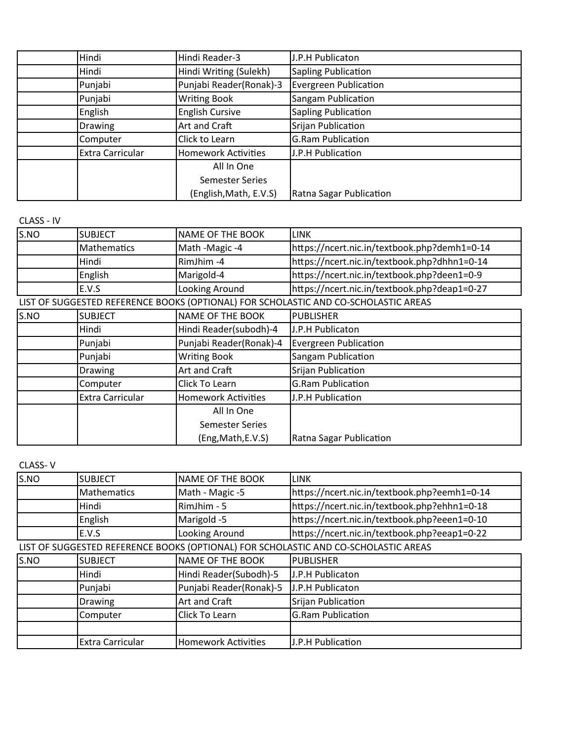| Hindi                   | Hindi Reader-3             | J.P.H Publicaton             |
|-------------------------|----------------------------|------------------------------|
| Hindi                   | Hindi Writing (Sulekh)     | <b>Sapling Publication</b>   |
| Punjabi                 | Punjabi Reader(Ronak)-3    | <b>Evergreen Publication</b> |
| Punjabi                 | <b>Writing Book</b>        | Sangam Publication           |
| English                 | <b>English Cursive</b>     | <b>Sapling Publication</b>   |
| <b>Drawing</b>          | Art and Craft              | Srijan Publication           |
| Computer                | Click to Learn             | <b>G.Ram Publication</b>     |
| <b>Extra Carricular</b> | <b>Homework Activities</b> | J.P.H Publication            |
|                         | All In One                 |                              |
|                         | <b>Semester Series</b>     |                              |
|                         | (English, Math, E.V.S)     | Ratna Sagar Publication      |

CLASS - IV

| S.NO | <b>SUBJECT</b>          | <b>NAME OF THE BOOK</b>    | <b>LINK</b>                                                                         |
|------|-------------------------|----------------------------|-------------------------------------------------------------------------------------|
|      | <b>Mathematics</b>      | Math -Magic -4             | https://ncert.nic.in/textbook.php?demh1=0-14                                        |
|      | Hindi                   | RimJhim-4                  | https://ncert.nic.in/textbook.php?dhhn1=0-14                                        |
|      | English                 | Marigold-4                 | https://ncert.nic.in/textbook.php?deen1=0-9                                         |
|      | E.V.S                   | Looking Around             | https://ncert.nic.in/textbook.php?deap1=0-27                                        |
|      |                         |                            | LIST OF SUGGESTED REFERENCE BOOKS (OPTIONAL) FOR SCHOLASTIC AND CO-SCHOLASTIC AREAS |
| S.NO | <b>SUBJECT</b>          | <b>NAME OF THE BOOK</b>    | <b>PUBLISHER</b>                                                                    |
|      | Hindi                   | Hindi Reader(subodh)-4     | J.P.H Publicaton                                                                    |
|      | Punjabi                 | Punjabi Reader(Ronak)-4    | <b>Evergreen Publication</b>                                                        |
|      | Punjabi                 | <b>Writing Book</b>        | Sangam Publication                                                                  |
|      | <b>Drawing</b>          | Art and Craft              | Srijan Publication                                                                  |
|      | Computer                | Click To Learn             | <b>G.Ram Publication</b>                                                            |
|      | <b>Extra Carricular</b> | <b>Homework Activities</b> | J.P.H Publication                                                                   |
|      |                         | All In One                 |                                                                                     |
|      |                         | <b>Semester Series</b>     |                                                                                     |
|      |                         | (Eng, Math, E.V.S)         | Ratna Sagar Publication                                                             |

CLASS- V

| S.NO | <b>SUBJECT</b>          | <b>NAME OF THE BOOK</b>    | <b>LINK</b>                                                                         |
|------|-------------------------|----------------------------|-------------------------------------------------------------------------------------|
|      | <b>Mathematics</b>      | Math - Magic -5            | https://ncert.nic.in/textbook.php?eemh1=0-14                                        |
|      | Hindi                   | RimJhim - 5                | https://ncert.nic.in/textbook.php?ehhn1=0-18                                        |
|      | English                 | Marigold -5                | https://ncert.nic.in/textbook.php?eeen1=0-10                                        |
|      | E.V.S                   | Looking Around             | https://ncert.nic.in/textbook.php?eeap1=0-22                                        |
|      |                         |                            | LIST OF SUGGESTED REFERENCE BOOKS (OPTIONAL) FOR SCHOLASTIC AND CO-SCHOLASTIC AREAS |
| S.NO | <b>SUBJECT</b>          | <b>NAME OF THE BOOK</b>    | <b>PUBLISHER</b>                                                                    |
|      | Hindi                   | Hindi Reader(Subodh)-5     | J.P.H Publicaton                                                                    |
|      | Punjabi                 | Punjabi Reader(Ronak)-5    | J.P.H Publicaton                                                                    |
|      | <b>Drawing</b>          | Art and Craft              | Srijan Publication                                                                  |
|      | Computer                | Click To Learn             | <b>G.Ram Publication</b>                                                            |
|      |                         |                            |                                                                                     |
|      | <b>Extra Carricular</b> | <b>Homework Activities</b> | J.P.H Publication                                                                   |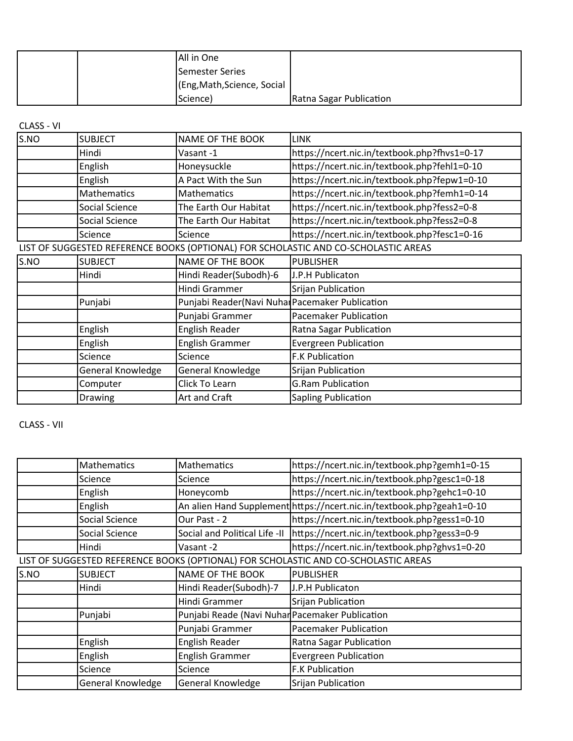|  | All in One                  |                         |
|--|-----------------------------|-------------------------|
|  | Semester Series             |                         |
|  | (Eng, Math, Science, Social |                         |
|  | Science)                    | Ratna Sagar Publication |

## CLASS - VI

| S.NO | <b>SUBJECT</b>    | NAME OF THE BOOK                                | <b>LINK</b>                                                                         |
|------|-------------------|-------------------------------------------------|-------------------------------------------------------------------------------------|
|      | Hindi             | Vasant-1                                        | https://ncert.nic.in/textbook.php?fhvs1=0-17                                        |
|      | English           | Honeysuckle                                     | https://ncert.nic.in/textbook.php?fehl1=0-10                                        |
|      | English           | A Pact With the Sun                             | https://ncert.nic.in/textbook.php?fepw1=0-10                                        |
|      | Mathematics       | Mathematics                                     | https://ncert.nic.in/textbook.php?femh1=0-14                                        |
|      | Social Science    | The Earth Our Habitat                           | https://ncert.nic.in/textbook.php?fess2=0-8                                         |
|      | Social Science    | The Earth Our Habitat                           | https://ncert.nic.in/textbook.php?fess2=0-8                                         |
|      | Science           | Science                                         | https://ncert.nic.in/textbook.php?fesc1=0-16                                        |
|      |                   |                                                 | LIST OF SUGGESTED REFERENCE BOOKS (OPTIONAL) FOR SCHOLASTIC AND CO-SCHOLASTIC AREAS |
| S.NO | <b>SUBJECT</b>    | <b>NAME OF THE BOOK</b>                         | <b>PUBLISHER</b>                                                                    |
|      | Hindi             | Hindi Reader(Subodh)-6                          | J.P.H Publicaton                                                                    |
|      |                   | Hindi Grammer                                   | Srijan Publication                                                                  |
|      | Punjabi           | Punjabi Reader(Navi Nuhal Pacemaker Publication |                                                                                     |
|      |                   | Punjabi Grammer                                 | Pacemaker Publication                                                               |
|      | English           | <b>English Reader</b>                           | Ratna Sagar Publication                                                             |
|      | English           | English Grammer                                 | <b>Evergreen Publication</b>                                                        |
|      | Science           | Science                                         | <b>F.K Publication</b>                                                              |
|      | General Knowledge | General Knowledge                               | Srijan Publication                                                                  |
|      | Computer          | Click To Learn                                  | <b>G.Ram Publication</b>                                                            |
|      | Drawing           | Art and Craft                                   | <b>Sapling Publication</b>                                                          |

CLASS - VII

|      | Mathematics       | Mathematics                                     | https://ncert.nic.in/textbook.php?gemh1=0-15                                        |
|------|-------------------|-------------------------------------------------|-------------------------------------------------------------------------------------|
|      | Science           | Science                                         | https://ncert.nic.in/textbook.php?gesc1=0-18                                        |
|      | English           | Honeycomb                                       | https://ncert.nic.in/textbook.php?gehc1=0-10                                        |
|      | English           |                                                 | An alien Hand Supplement https://ncert.nic.in/textbook.php?geah1=0-10               |
|      | Social Science    | Our Past - 2                                    | https://ncert.nic.in/textbook.php?gess1=0-10                                        |
|      | Social Science    | Social and Political Life -II                   | https://ncert.nic.in/textbook.php?gess3=0-9                                         |
|      | Hindi             | Vasant -2                                       | https://ncert.nic.in/textbook.php?ghvs1=0-20                                        |
|      |                   |                                                 | LIST OF SUGGESTED REFERENCE BOOKS (OPTIONAL) FOR SCHOLASTIC AND CO-SCHOLASTIC AREAS |
| S.NO | <b>SUBJECT</b>    | NAME OF THE BOOK                                | <b>PUBLISHER</b>                                                                    |
|      | Hindi             | Hindi Reader(Subodh)-7                          | J.P.H Publicaton                                                                    |
|      |                   | Hindi Grammer                                   | Srijan Publication                                                                  |
|      | Punjabi           | Punjabi Reade (Navi Nuhar Pacemaker Publication |                                                                                     |
|      |                   | Punjabi Grammer                                 | Pacemaker Publication                                                               |
|      | English           | English Reader                                  | Ratna Sagar Publication                                                             |
|      | English           | <b>English Grammer</b>                          | <b>Evergreen Publication</b>                                                        |
|      | Science           | Science                                         | F.K Publication                                                                     |
|      | General Knowledge | <b>General Knowledge</b>                        | Srijan Publication                                                                  |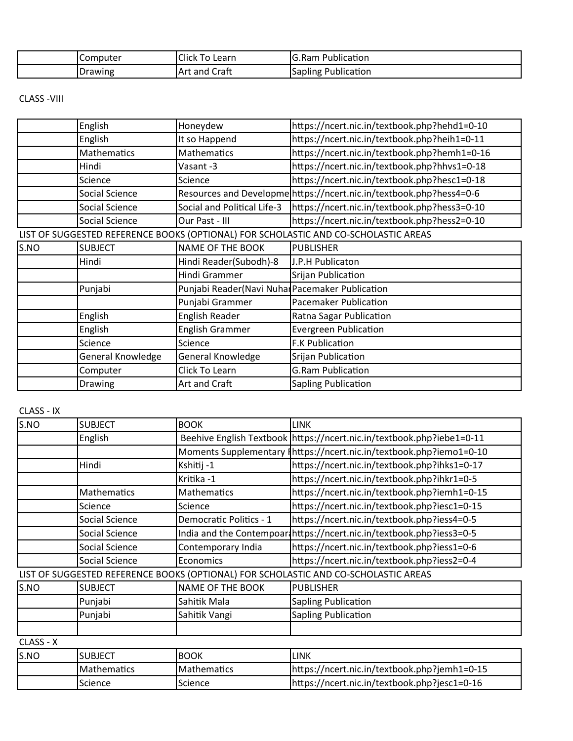| Computer       | $\sim$ $\sim$<br><b>Click</b><br>Learn<br>◡ | Publication<br>lG.Ram              |
|----------------|---------------------------------------------|------------------------------------|
| <b>Drawing</b> | - -<br>Craft<br>Art and                     | . .<br>-<br>Publication<br>Sapling |

CLASS -VIII

|      | English               | Honeydew                                        | https://ncert.nic.in/textbook.php?hehd1=0-10                                        |
|------|-----------------------|-------------------------------------------------|-------------------------------------------------------------------------------------|
|      | English               | It so Happend                                   | https://ncert.nic.in/textbook.php?heih1=0-11                                        |
|      | <b>Mathematics</b>    | Mathematics                                     | https://ncert.nic.in/textbook.php?hemh1=0-16                                        |
|      | Hindi                 | Vasant-3                                        | https://ncert.nic.in/textbook.php?hhvs1=0-18                                        |
|      | Science               | Science                                         | https://ncert.nic.in/textbook.php?hesc1=0-18                                        |
|      | <b>Social Science</b> |                                                 | Resources and Developme https://ncert.nic.in/textbook.php?hess4=0-6                 |
|      | Social Science        | Social and Political Life-3                     | https://ncert.nic.in/textbook.php?hess3=0-10                                        |
|      | Social Science        | Our Past - III                                  | https://ncert.nic.in/textbook.php?hess2=0-10                                        |
|      |                       |                                                 | LIST OF SUGGESTED REFERENCE BOOKS (OPTIONAL) FOR SCHOLASTIC AND CO-SCHOLASTIC AREAS |
| S.NO | <b>SUBJECT</b>        | <b>NAME OF THE BOOK</b>                         | <b>PUBLISHER</b>                                                                    |
|      | Hindi                 | Hindi Reader(Subodh)-8                          | J.P.H Publicaton                                                                    |
|      |                       | Hindi Grammer                                   | Srijan Publication                                                                  |
|      | Punjabi               | Punjabi Reader(Navi Nuhal Pacemaker Publication |                                                                                     |
|      |                       | Punjabi Grammer                                 | Pacemaker Publication                                                               |
|      | English               | English Reader                                  | Ratna Sagar Publication                                                             |
|      | English               | <b>English Grammer</b>                          | <b>Evergreen Publication</b>                                                        |
|      | Science               | Science                                         | F.K Publication                                                                     |
|      | General Knowledge     | General Knowledge                               | Srijan Publication                                                                  |
|      | Computer              | Click To Learn                                  | <b>G.Ram Publication</b>                                                            |
|      | Drawing               | Art and Craft                                   | Sapling Publication                                                                 |

CLASS - IX

| S.NO                                                                                | <b>SUBJECT</b>        | <b>BOOK</b>             | <b>LINK</b>                                                           |  |
|-------------------------------------------------------------------------------------|-----------------------|-------------------------|-----------------------------------------------------------------------|--|
|                                                                                     | English               |                         | Beehive English Textbook https://ncert.nic.in/textbook.php?iebe1=0-11 |  |
|                                                                                     |                       |                         | Moments Supplementary   https://ncert.nic.in/textbook.php?iemo1=0-10  |  |
|                                                                                     | Hindi                 | Kshitij -1              | https://ncert.nic.in/textbook.php?ihks1=0-17                          |  |
|                                                                                     |                       | Kritika -1              | https://ncert.nic.in/textbook.php?ihkr1=0-5                           |  |
|                                                                                     | Mathematics           | <b>Mathematics</b>      | https://ncert.nic.in/textbook.php?iemh1=0-15                          |  |
|                                                                                     | Science               | Science                 | https://ncert.nic.in/textbook.php?iesc1=0-15                          |  |
|                                                                                     | Social Science        | Democratic Politics - 1 | https://ncert.nic.in/textbook.php?iess4=0-5                           |  |
|                                                                                     | Social Science        |                         | India and the Contempoar https://ncert.nic.in/textbook.php?iess3=0-5  |  |
|                                                                                     | Social Science        | Contemporary India      | https://ncert.nic.in/textbook.php?iess1=0-6                           |  |
|                                                                                     | <b>Social Science</b> | Economics               | https://ncert.nic.in/textbook.php?iess2=0-4                           |  |
| LIST OF SUGGESTED REFERENCE BOOKS (OPTIONAL) FOR SCHOLASTIC AND CO-SCHOLASTIC AREAS |                       |                         |                                                                       |  |
| S.NO                                                                                | <b>SUBJECT</b>        | <b>NAME OF THE BOOK</b> | <b>PUBLISHER</b>                                                      |  |
|                                                                                     | Punjabi               | Sahitik Mala            | <b>Sapling Publication</b>                                            |  |
|                                                                                     | Punjabi               | Sahitik Vangi           | <b>Sapling Publication</b>                                            |  |
|                                                                                     |                       |                         |                                                                       |  |
| CLASS - X                                                                           |                       |                         |                                                                       |  |
| $S$ NO                                                                              | <b>SURIFCT</b>        | <b>ROOK</b>             | <b>IINK</b>                                                           |  |

| S.NO | <b>SUBJECT</b>       | <b>BOOK</b>        | LINK                                          |
|------|----------------------|--------------------|-----------------------------------------------|
|      | <b>I</b> Mathematics | <b>Mathematics</b> | lhttps://ncert.nic.in/textbook.php?jemh1=0-15 |
|      | 'Science             | Science            | https://ncert.nic.in/textbook.php?jesc1=0-16  |